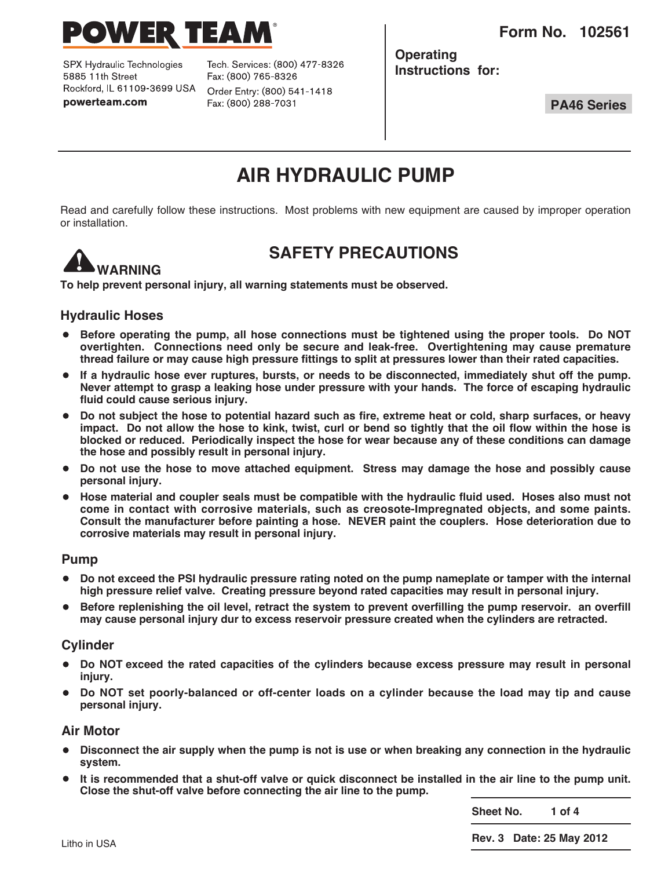**Form No. 102561**



SPX Hydraulic Technologies 5885 11th Street Rockford, IL 61109-3699 USA powerteam.com

Tech. Services: (800) 477-8326 Fax: (800) 765-8326 Order Entry: (800) 541-1418 Fax: (800) 288-7031

**Operating Instructions for:**

**PA46 Series**

# **AIR HYDRAULIC PUMP**

Read and carefully follow these instructions. Most problems with new equipment are caused by improper operation or installation.



### **SAFETY PRECAUTIONS**

**To help prevent personal injury, all warning statements must be observed.**

### **Hydraulic Hoses**

- **Before operating the pump, all hose connections must be tightened using the proper tools. Do NOT overtighten. Connections need only be secure and leak-free. Overtightening may cause premature** thread failure or may cause high pressure fittings to split at pressures lower than their rated capacities.
- **If <sup>a</sup> hydraulic hose ever ruptures, bursts, or needs to be disconnected, immediately shut off the pump. Never attempt to grasp a leaking hose under pressure with your hands. The force of escaping hydraulic fluid could cause serious injury.**
- Do not subject the hose to potential hazard such as fire, extreme heat or cold, sharp surfaces, or heavy impact. Do not allow the hose to kink, twist, curl or bend so tightly that the oil flow within the hose is **blocked or reduced. Periodically inspect the hose for wear because any of these conditions can damage the hose and possibly result in personal injury.**
- **Do not use the hose to move attached equipment. Stress may damage the hose and possibly cause personal injury.**
- **Hose material and coupler seals must be compatible with the hydraulic fluid used. Hoses also must not come in contact with corrosive materials, such as creosote-Impregnated objects, and some paints. Consult the manufacturer before painting a hose. NEVER paint the couplers. Hose deterioration due to corrosive materials may result in personal injury.**

#### **Pump**

- Do not exceed the PSI hydraulic pressure rating noted on the pump nameplate or tamper with the internal **high pressure relief valve. Creating pressure beyond rated capacities may result in personal injury.**
- **Before replenishing the oil level, retract the system to prevent overfilling the pump reservoir. an overfill may cause personal injury dur to excess reservoir pressure created when the cylinders are retracted.**

### **Cylinder**

- **Do NOT exceed the rated capacities of the cylinders because excess pressure may result in personal injury.**
- **Do NOT set poorly-balanced or off-center loads on <sup>a</sup> cylinder because the load may tip and cause personal injury.**

#### **Air Motor**

- Disconnect the air supply when the pump is not is use or when breaking any connection in the hydraulic **system.**
- It is recommended that a shut-off valve or quick disconnect be installed in the air line to the pump unit. **Close the shut-off valve before connecting the air line to the pump.**

**Sheet No. 1 of 4**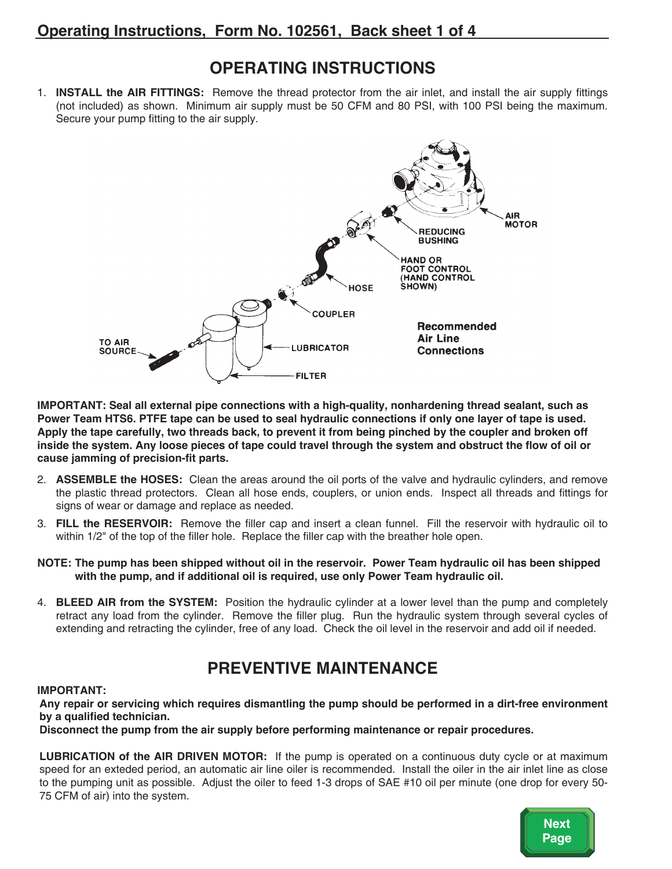## **OPERATING INSTRUCTIONS**

1. **INSTALL the AIR FITTINGS:** Remove the thread protector from the air inlet, and install the air supply fittings (not included) as shown. Minimum air supply must be 50 CFM and 80 PSI, with 100 PSI being the maximum. Secure your pump fitting to the air supply.



**IMPORTANT: Seal all external pipe connections with a high-quality, nonhardening thread sealant, such as** Power Team HTS6. PTFE tape can be used to seal hydraulic connections if only one layer of tape is used. Apply the tape carefully, two threads back, to prevent it from being pinched by the coupler and broken off inside the system. Any loose pieces of tape could travel through the system and obstruct the flow of oil or **cause jamming of precision-fit parts.**

- 2. **ASSEMBLE the HOSES:** Clean the areas around the oil ports of the valve and hydraulic cylinders, and remove the plastic thread protectors. Clean all hose ends, couplers, or union ends. Inspect all threads and fittings for signs of wear or damage and replace as needed.
- 3. **FILL the RESERVOIR:** Remove the filler cap and insert a clean funnel. Fill the reservoir with hydraulic oil to within 1/2" of the top of the filler hole. Replace the filler cap with the breather hole open.
- NOTE: The pump has been shipped without oil in the reservoir. Power Team hydraulic oil has been shipped **with the pump, and if additional oil is required, use only Power Team hydraulic oil.**
- 4. **BLEED AIR from the SYSTEM:** Position the hydraulic cylinder at a lower level than the pump and completely retract any load from the cylinder. Remove the filler plug. Run the hydraulic system through several cycles of extending and retracting the cylinder, free of any load. Check the oil level in the reservoir and add oil if needed.

# **PREVENTIVE MAINTENANCE**

#### **IMPORTANT:**

**Any repair or servicing which requires dismantling the pump should be performed in a dirt-free environment by a qualified technician.**

**Disconnect the pump from the air supply before performing maintenance or repair procedures.**

**LUBRICATION of the AIR DRIVEN MOTOR:** If the pump is operated on a continuous duty cycle or at maximum speed for an exteded period, an automatic air line oiler is recommended. Install the oiler in the air inlet line as close to the pumping unit as possible. Adjust the oiler to feed 1-3 drops of SAE #10 oil per minute (one drop for every 50- 75 CFM of air) into the system.

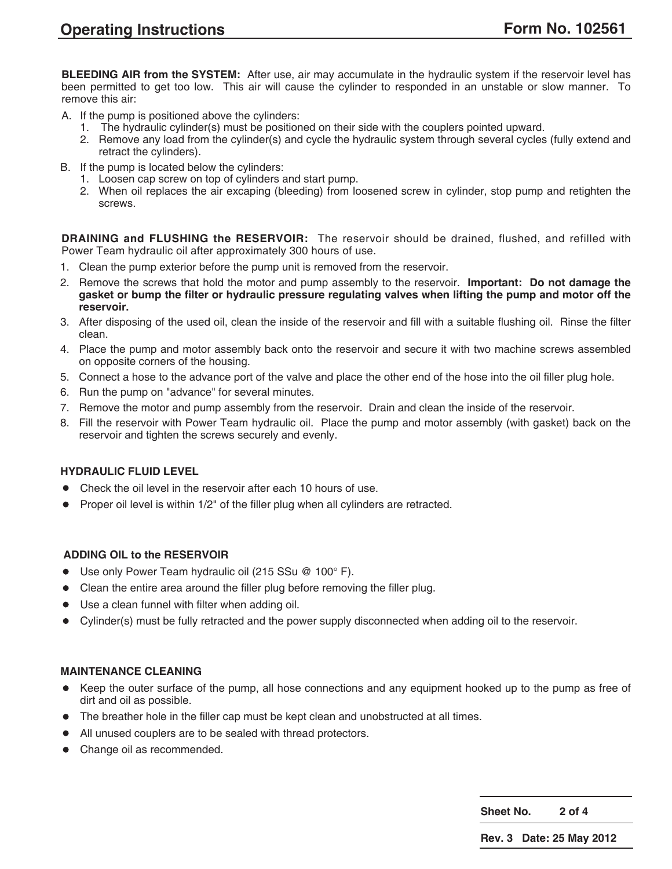**BLEEDING AIR from the SYSTEM:** After use, air may accumulate in the hydraulic system if the reservoir level has been permitted to get too low. This air will cause the cylinder to responded in an unstable or slow manner. To remove this air:

- A. If the pump is positioned above the cylinders:
	- 1. The hydraulic cylinder(s) must be positioned on their side with the couplers pointed upward.
	- 2. Remove any load from the cylinder(s) and cycle the hydraulic system through several cycles (fully extend and retract the cylinders).
- B. If the pump is located below the cylinders:
	- 1. Loosen cap screw on top of cylinders and start pump.
	- 2. When oil replaces the air excaping (bleeding) from loosened screw in cylinder, stop pump and retighten the screws.

**DRAINING and FLUSHING the RESERVOIR:** The reservoir should be drained, flushed, and refilled with Power Team hydraulic oil after approximately 300 hours of use.

- 1. Clean the pump exterior before the pump unit is removed from the reservoir.
- 2. Remove the screws that hold the motor and pump assembly to the reservoir. **Important: Do not damage the** gasket or bump the filter or hydraulic pressure regulating valves when lifting the pump and motor off the **reservoir.**
- 3. After disposing of the used oil, clean the inside of the reservoir and fill with a suitable flushing oil. Rinse the filter clean.
- 4. Place the pump and motor assembly back onto the reservoir and secure it with two machine screws assembled on opposite corners of the housing.
- 5. Connect a hose to the advance port of the valve and place the other end of the hose into the oil filler plug hole.
- 6. Run the pump on "advance" for several minutes.
- 7. Remove the motor and pump assembly from the reservoir. Drain and clean the inside of the reservoir.
- 8. Fill the reservoir with Power Team hydraulic oil. Place the pump and motor assembly (with gasket) back on the reservoir and tighten the screws securely and evenly.

#### **HYDRAULIC FLUID LEVEL**

- Check the oil level in the reservoir after each <sup>10</sup> hours of use.
- Proper oil level is within 1/2" of the filler plug when all cylinders are retracted.

#### **ADDING OIL to the RESERVOIR**

- Use only Power Team hydraulic oil (215 SSu @ 100°F).
- Clean the entire area around the filler plug before removing the filler plug.
- Use <sup>a</sup> clean funnel with filter when adding oil.
- Cylinder(s) must be fully retracted and the power supply disconnected when adding oil to the reservoir.

#### **MAINTENANCE CLEANING**

- Keep the outer surface of the pump, all hose connections and any equipment hooked up to the pump as free of dirt and oil as possible.
- The breather hole in the filler cap must be kept clean and unobstructed at all times.
- All unused couplers are to be sealed with thread protectors.
- Change oil as recommended.

**Sheet No. 2 of 4**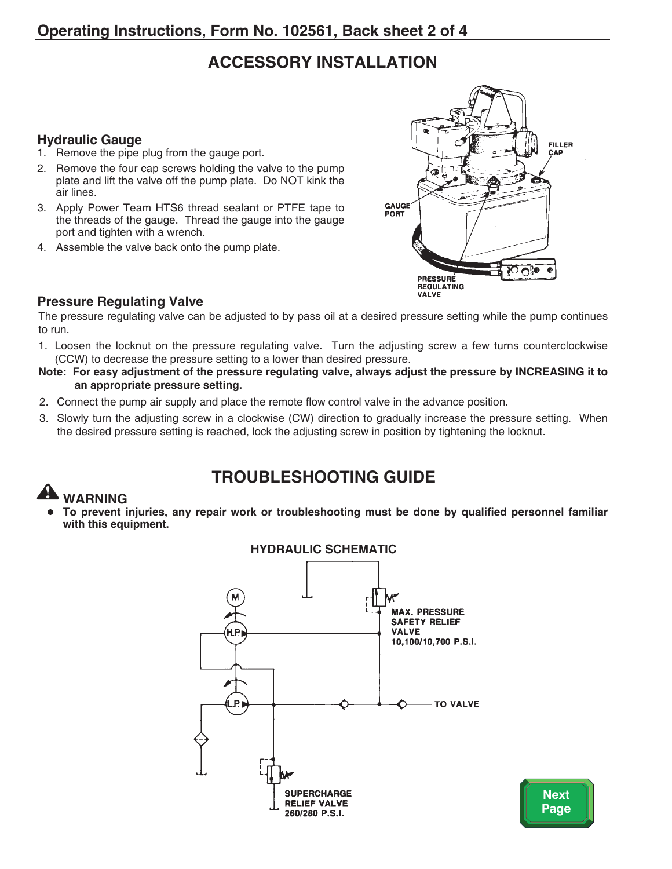# **ACCESSORY INSTALLATION**

### **Hydraulic Gauge**

- 1. Remove the pipe plug from the gauge port.
- 2. Remove the four cap screws holding the valve to the pump plate and lift the valve off the pump plate. Do NOT kink the air lines.
- 3. Apply Power Team HTS6 thread sealant or PTFE tape to the threads of the gauge. Thread the gauge into the gauge port and tighten with a wrench.
- 4. Assemble the valve back onto the pump plate.



### **Pressure Regulating Valve**

The pressure regulating valve can be adjusted to by pass oil at a desired pressure setting while the pump continues to run.

- 1. Loosen the locknut on the pressure regulating valve. Turn the adjusting screw a few turns counterclockwise (CCW) to decrease the pressure setting to a lower than desired pressure.
- Note: For easy adjustment of the pressure regulating valve, always adjust the pressure by INCREASING it to **an appropriate pressure setting.**
- 2. Connect the pump air supply and place the remote flow control valve in the advance position.
- 3. Slowly turn the adjusting screw in a clockwise (CW) direction to gradually increase the pressure setting. When the desired pressure setting is reached, lock the adjusting screw in position by tightening the locknut.

# **TROUBLESHOOTING GUIDE**

# **WARNING**

• **To prevent injuries, any repair work or troubleshooting must be done by qualified personnel familiar with this equipment.**



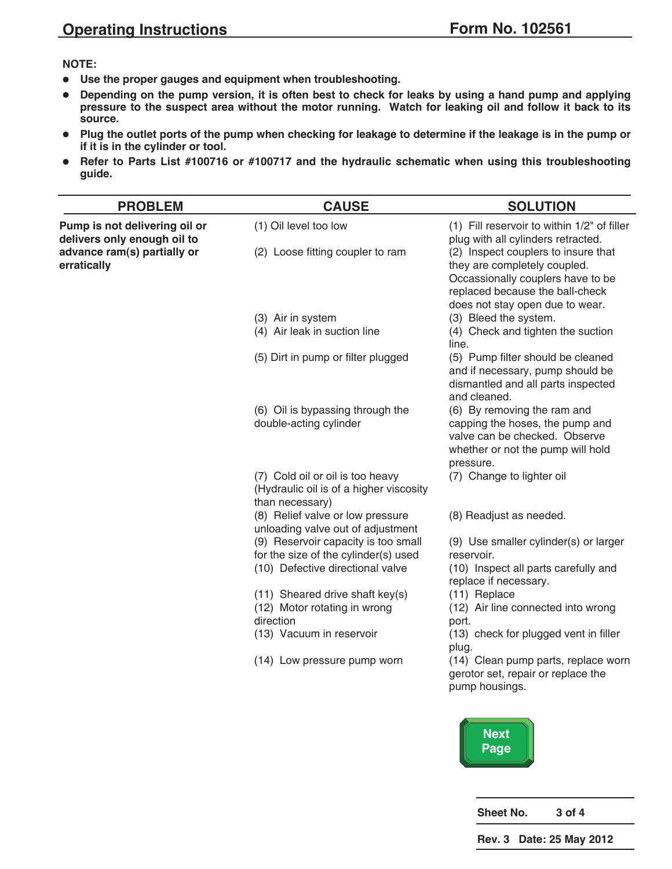#### **NOTE:**

- **Use the proper gauges and equipment when troubleshooting.**
- Depending on the pump version, it is often best to check for leaks by using a hand pump and applying pressure to the suspect area without the motor running. Watch for leaking oil and follow it back to its **source.**
- Plug the outlet ports of the pump when checking for leakage to determine if the leakage is in the pump or **if it is in the cylinder or tool.**
- **Refer to Parts List #100716 or #100717 and the hydraulic schematic when using this troubleshooting guide.**

| <b>PROBLEM</b>                                               | <b>CAUSE</b>                                                                                   | <b>SOLUTION</b>                                                                                                                                                                |
|--------------------------------------------------------------|------------------------------------------------------------------------------------------------|--------------------------------------------------------------------------------------------------------------------------------------------------------------------------------|
| Pump is not delivering oil or<br>delivers only enough oil to | (1) Oil level too low                                                                          | (1) Fill reservoir to within 1/2" of filler<br>plug with all cylinders retracted.                                                                                              |
| advance ram(s) partially or<br>erratically                   | (2) Loose fitting coupler to ram                                                               | (2) Inspect couplers to insure that<br>they are completely coupled.<br>Occassionally couplers have to be<br>replaced because the ball-check<br>does not stay open due to wear. |
|                                                              | (3) Air in system                                                                              | (3) Bleed the system.                                                                                                                                                          |
|                                                              | (4) Air leak in suction line                                                                   | (4) Check and tighten the suction<br>line.                                                                                                                                     |
|                                                              | (5) Dirt in pump or filter plugged                                                             | (5) Pump filter should be cleaned<br>and if necessary, pump should be<br>dismantled and all parts inspected<br>and cleaned.                                                    |
|                                                              | (6) Oil is bypassing through the<br>double-acting cylinder                                     | (6) By removing the ram and<br>capping the hoses, the pump and<br>valve can be checked. Observe<br>whether or not the pump will hold<br>pressure.                              |
|                                                              | (7) Cold oil or oil is too heavy<br>(Hydraulic oil is of a higher viscosity<br>than necessary) | (7) Change to lighter oil                                                                                                                                                      |
|                                                              | (8) Relief valve or low pressure<br>unloading valve out of adjustment                          | (8) Readjust as needed.                                                                                                                                                        |
|                                                              | (9) Reservoir capacity is too small<br>for the size of the cylinder(s) used                    | (9) Use smaller cylinder(s) or larger<br>reservoir.                                                                                                                            |
|                                                              | (10) Defective directional valve                                                               | (10) Inspect all parts carefully and<br>replace if necessary.                                                                                                                  |
|                                                              | (11) Sheared drive shaft key(s)                                                                | (11) Replace                                                                                                                                                                   |
|                                                              | (12) Motor rotating in wrong                                                                   | (12) Air line connected into wrong                                                                                                                                             |
|                                                              | direction                                                                                      | port.                                                                                                                                                                          |
|                                                              | (13) Vacuum in reservoir                                                                       | (13) check for plugged vent in filler<br>plug.                                                                                                                                 |
|                                                              | (14) Low pressure pump worn                                                                    | (14) Clean pump parts, replace worn<br>gerotor set, repair or replace the<br>pump housings.                                                                                    |
|                                                              |                                                                                                | <b>Next</b>                                                                                                                                                                    |



**Sheet No. 3 of 4**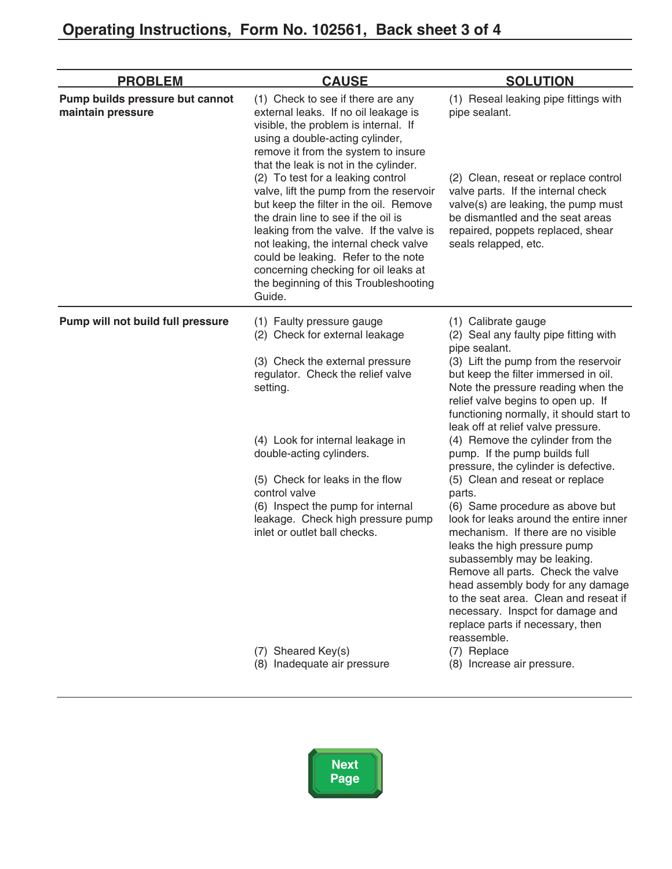| <b>PROBLEM</b>                                       | <b>CAUSE</b>                                                                                                                                                                                                                                                                                                                                                                                                                                                                                                                                                                                                                | <b>SOLUTION</b>                                                                                                                                                                                                                                                                                                                                                                                                                                                                                                                                                                                                                                                                                                                                                                                                                                                                                                                |
|------------------------------------------------------|-----------------------------------------------------------------------------------------------------------------------------------------------------------------------------------------------------------------------------------------------------------------------------------------------------------------------------------------------------------------------------------------------------------------------------------------------------------------------------------------------------------------------------------------------------------------------------------------------------------------------------|--------------------------------------------------------------------------------------------------------------------------------------------------------------------------------------------------------------------------------------------------------------------------------------------------------------------------------------------------------------------------------------------------------------------------------------------------------------------------------------------------------------------------------------------------------------------------------------------------------------------------------------------------------------------------------------------------------------------------------------------------------------------------------------------------------------------------------------------------------------------------------------------------------------------------------|
| Pump builds pressure but cannot<br>maintain pressure | (1) Check to see if there are any<br>external leaks. If no oil leakage is<br>visible, the problem is internal. If<br>using a double-acting cylinder,<br>remove it from the system to insure<br>that the leak is not in the cylinder.<br>(2) To test for a leaking control<br>valve, lift the pump from the reservoir<br>but keep the filter in the oil. Remove<br>the drain line to see if the oil is<br>leaking from the valve. If the valve is<br>not leaking, the internal check valve<br>could be leaking. Refer to the note<br>concerning checking for oil leaks at<br>the beginning of this Troubleshooting<br>Guide. | (1) Reseal leaking pipe fittings with<br>pipe sealant.<br>(2) Clean, reseat or replace control<br>valve parts. If the internal check<br>valve(s) are leaking, the pump must<br>be dismantled and the seat areas<br>repaired, poppets replaced, shear<br>seals relapped, etc.                                                                                                                                                                                                                                                                                                                                                                                                                                                                                                                                                                                                                                                   |
| Pump will not build full pressure                    | (1) Faulty pressure gauge<br>(2) Check for external leakage<br>(3) Check the external pressure<br>regulator. Check the relief valve<br>setting.<br>(4) Look for internal leakage in<br>double-acting cylinders.<br>(5) Check for leaks in the flow<br>control valve<br>(6) Inspect the pump for internal<br>leakage. Check high pressure pump<br>inlet or outlet ball checks.<br>(7) Sheared Key(s)<br>(8) Inadequate air pressure                                                                                                                                                                                          | (1) Calibrate gauge<br>(2) Seal any faulty pipe fitting with<br>pipe sealant.<br>(3) Lift the pump from the reservoir<br>but keep the filter immersed in oil.<br>Note the pressure reading when the<br>relief valve begins to open up. If<br>functioning normally, it should start to<br>leak off at relief valve pressure.<br>(4) Remove the cylinder from the<br>pump. If the pump builds full<br>pressure, the cylinder is defective.<br>(5) Clean and reseat or replace<br>parts.<br>(6) Same procedure as above but<br>look for leaks around the entire inner<br>mechanism. If there are no visible<br>leaks the high pressure pump<br>subassembly may be leaking.<br>Remove all parts. Check the valve<br>head assembly body for any damage<br>to the seat area. Clean and reseat if<br>necessary. Inspct for damage and<br>replace parts if necessary, then<br>reassemble.<br>(7) Replace<br>(8) Increase air pressure. |